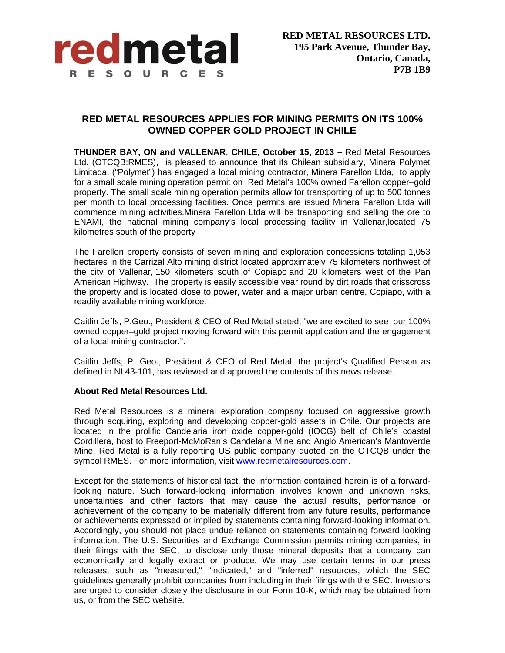

## **RED METAL RESOURCES APPLIES FOR MINING PERMITS ON ITS 100% OWNED COPPER GOLD PROJECT IN CHILE**

**THUNDER BAY, ON and VALLENAR**, **CHILE, October 15, 2013 –** Red Metal Resources Ltd. (OTCQB:RMES), is pleased to announce that its Chilean subsidiary, Minera Polymet Limitada, ("Polymet") has engaged a local mining contractor, Minera Farellon Ltda, to apply for a small scale mining operation permit on Red Metal's 100% owned Farellon copper–gold property. The small scale mining operation permits allow for transporting of up to 500 tonnes per month to local processing facilities. Once permits are issued Minera Farellon Ltda will commence mining activities.Minera Farellon Ltda will be transporting and selling the ore to ENAMI, the national mining company's local processing facility in Vallenar,located 75 kilometres south of the property

The Farellon property consists of seven mining and exploration concessions totaling 1,053 hectares in the Carrizal Alto mining district located approximately 75 kilometers northwest of the city of Vallenar, 150 kilometers south of Copiapo and 20 kilometers west of the Pan American Highway. The property is easily accessible year round by dirt roads that crisscross the property and is located close to power, water and a major urban centre, Copiapo, with a readily available mining workforce.

Caitlin Jeffs, P.Geo., President & CEO of Red Metal stated, "we are excited to see our 100% owned copper–gold project moving forward with this permit application and the engagement of a local mining contractor.".

Caitlin Jeffs, P. Geo., President & CEO of Red Metal, the project's Qualified Person as defined in NI 43-101, has reviewed and approved the contents of this news release.

## **About Red Metal Resources Ltd.**

Red Metal Resources is a mineral exploration company focused on aggressive growth through acquiring, exploring and developing copper-gold assets in Chile. Our projects are located in the prolific Candelaria iron oxide copper-gold (IOCG) belt of Chile's coastal Cordillera, host to Freeport-McMoRan's Candelaria Mine and Anglo American's Mantoverde Mine. Red Metal is a fully reporting US public company quoted on the OTCQB under the symbol RMES. For more information, visit www.redmetalresources.com.

Except for the statements of historical fact, the information contained herein is of a forwardlooking nature. Such forward-looking information involves known and unknown risks, uncertainties and other factors that may cause the actual results, performance or achievement of the company to be materially different from any future results, performance or achievements expressed or implied by statements containing forward-looking information. Accordingly, you should not place undue reliance on statements containing forward looking information. The U.S. Securities and Exchange Commission permits mining companies, in their filings with the SEC, to disclose only those mineral deposits that a company can economically and legally extract or produce. We may use certain terms in our press releases, such as "measured," "indicated," and "inferred" resources, which the SEC guidelines generally prohibit companies from including in their filings with the SEC. Investors are urged to consider closely the disclosure in our Form 10-K, which may be obtained from us, or from the SEC website.